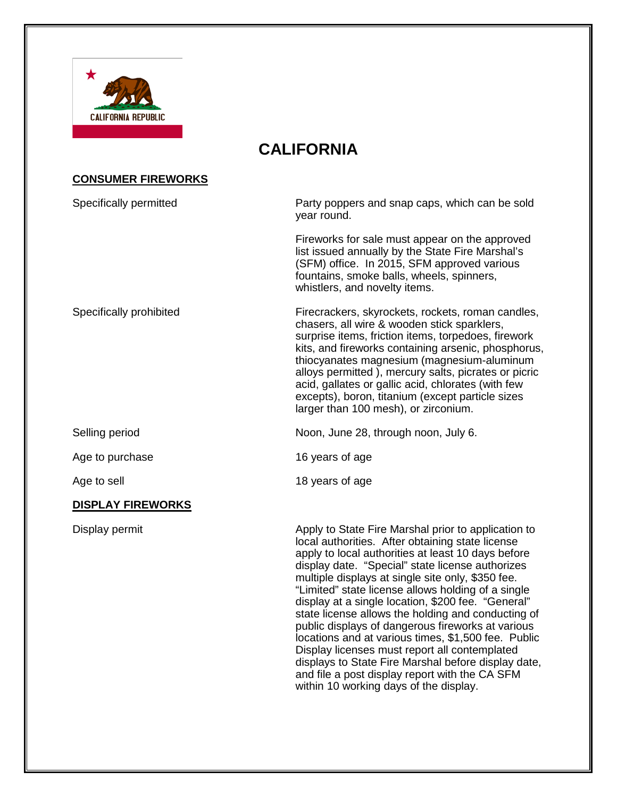

# **CALIFORNIA**

# **CONSUMER FIREWORKS**

| Specifically permitted   | Party poppers and snap caps, which can be sold<br>year round.                                                                                                                                                                                                                                                                                                                                                                                                          |  |
|--------------------------|------------------------------------------------------------------------------------------------------------------------------------------------------------------------------------------------------------------------------------------------------------------------------------------------------------------------------------------------------------------------------------------------------------------------------------------------------------------------|--|
|                          | Fireworks for sale must appear on the approved<br>list issued annually by the State Fire Marshal's<br>(SFM) office. In 2015, SFM approved various<br>fountains, smoke balls, wheels, spinners,<br>whistlers, and novelty items.                                                                                                                                                                                                                                        |  |
| Specifically prohibited  | Firecrackers, skyrockets, rockets, roman candles,<br>chasers, all wire & wooden stick sparklers,<br>surprise items, friction items, torpedoes, firework<br>kits, and fireworks containing arsenic, phosphorus,<br>thiocyanates magnesium (magnesium-aluminum<br>alloys permitted), mercury salts, picrates or picric<br>acid, gallates or gallic acid, chlorates (with few<br>excepts), boron, titanium (except particle sizes<br>larger than 100 mesh), or zirconium. |  |
| Selling period           | Noon, June 28, through noon, July 6.                                                                                                                                                                                                                                                                                                                                                                                                                                   |  |
| Age to purchase          | 16 years of age                                                                                                                                                                                                                                                                                                                                                                                                                                                        |  |
| Age to sell              | 18 years of age                                                                                                                                                                                                                                                                                                                                                                                                                                                        |  |
| <b>DISPLAY FIREWORKS</b> |                                                                                                                                                                                                                                                                                                                                                                                                                                                                        |  |
| Display permit           | Apply to State Fire Marshal prior to application to<br>local authorities. After obtaining state license<br>apply to local authorities at least 10 days before<br>display date. "Special" state license authorizes<br>multiple displays at single site only, \$350 fee.<br>"Limited" state license allows holding of a single<br>display at a single location, \$200 fee. "General"                                                                                     |  |

state license allows the holding and conducting of public displays of dangerous fireworks at various locations and at various times, \$1,500 fee. Public Display licenses must report all contemplated displays to State Fire Marshal before display date, and file a post display report with the CA SFM

within 10 working days of the display.